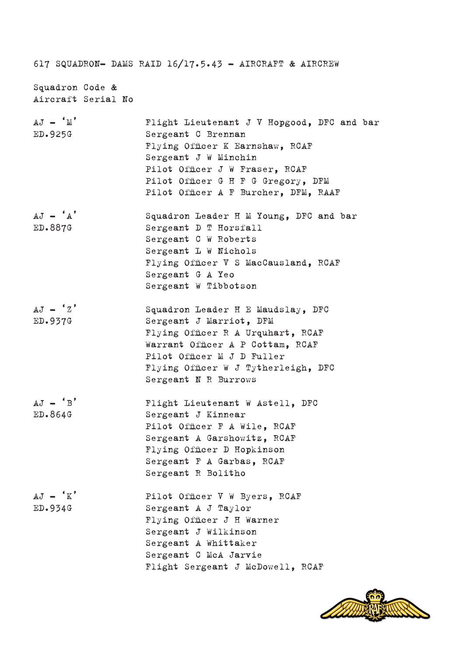|                                       | 617 SQUADRON- DAMS RAID 16/17.5.43 - AIRCRAFT & AIRCREW                                                                                                                                                                                     |
|---------------------------------------|---------------------------------------------------------------------------------------------------------------------------------------------------------------------------------------------------------------------------------------------|
| Squadron Code &<br>Aircraft Serial No |                                                                                                                                                                                                                                             |
| $AJ - 'M'$<br>ED.925G                 | Flight Lieutenant J V Hopgood, DFC and bar<br>Sergeant C Brennan<br>Flying Officer K Earnshaw, RCAF<br>Sergeant J W Minchin<br>Pilot Officer J W Fraser, RCAF<br>Pilot Officer G H F G Gregory, DFM<br>Pilot Officer A F Burcher, DFM, RAAF |
| $AJ - 'A'$<br>ED.887G                 | Squadron Leader H M Young, DFC and bar<br>Sergeant D T Horsfall<br>Sergeant C W Roberts<br>Sergeant L W Nichols<br>Flying Officer V S MacCausland, RCAF<br>Sergeant G A Yeo<br>Sergeant W Tibbotson                                         |
| $AJ - 'Z'$<br>ED.937G                 | Squadron Leader H E Maudslay, DFC<br>Sergeant J Marriot, DFM<br>Flying Officer R A Urquhart, RCAF<br>Warrant Officer A P Cottam, RCAF<br>Pilot Officer M J D Fuller<br>Flying Officer W J Tytherleigh, DFC<br>Sergeant N R Burrows          |
| $AJ - 'B'$<br>ED.864G                 | Flight Lieutenant W Astell, DFC<br>Sergeant J Kinnear<br>Pilot Officer F A Wile, RCAF<br>Sergeant A Garshowitz, RCAF<br>Flying Officer D Hopkinson<br>Sergeant F A Garbas, RCAF<br>Sergeant R Bolitho                                       |
| $AJ - K'$<br>ED.934G                  | Pilot Officer V W Byers, RCAF<br>Sergeant A J Taylor<br>Flying Officer J H Warner<br>Sergeant J Wilkinson<br>Sergeant A Whittaker<br>Sergeant C McA Jarvie<br>Flight Sergeant J McDowell, RCAF                                              |

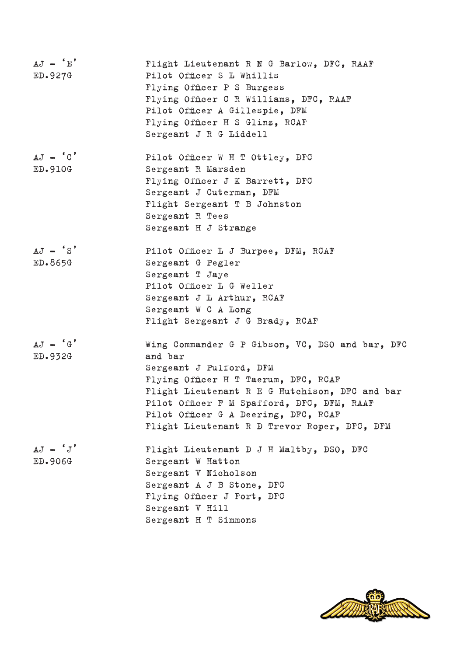| $AJ - 'E'$<br>ED.927G | Flight Lieutenant R N G Barlow, DFC, RAAF<br>Pilot Officer S L Whillis |
|-----------------------|------------------------------------------------------------------------|
|                       | Flying Officer P S Burgess                                             |
|                       | Flying Officer C R Williams, DFC, RAAF                                 |
|                       |                                                                        |
|                       | Pilot Officer A Gillespie, DFM                                         |
|                       | Flying Officer H S Glinz, RCAF                                         |
|                       | Sergeant J R G Liddell                                                 |
| $AJ - 'C'$            | Pilot Officer W H T Ottley, DFC                                        |
| <b>ED.910G</b>        | Sergeant R Marsden                                                     |
|                       | Flying Officer J K Barrett, DFC                                        |
|                       | Sergeant J Cuterman, DFM                                               |
|                       | Flight Sergeant T B Johnston                                           |
|                       | Sergeant R Tees                                                        |
|                       | Sergeant H J Strange                                                   |
| $AJ - 'S'$            | Pilot Officer L J Burpee, DFM, RCAF                                    |
| ED.865G               | Sergeant G Pegler                                                      |
|                       | Sergeant T Jaye                                                        |
|                       | Pilot Officer L G Weller                                               |
|                       | Sergeant J L Arthur, RCAF                                              |
|                       | Sergeant W C A Long                                                    |
|                       | Flight Sergeant J G Brady, RCAF                                        |
| $AJ - 'G'$            | Wing Commander G P Gibson, VC, DSO and bar, DFC                        |
| ED.932G               | and bar                                                                |
|                       | Sergeant J Pulford, DFM                                                |
|                       | Flying Officer H T Taerum, DFC, RCAF                                   |
|                       | Flight Lieutenant R E G Hutchison, DFC and bar                         |
|                       | Pilot Officer F M Spafford, DFC, DFM, RAAF                             |
|                       | Pilot Officer G A Deering, DFC, RCAF                                   |
|                       | Flight Lieutenant R D Trevor Roper, DFC, DFM                           |
| $AJ - 'J'$            | Flight Lieutenant D J H Maltby, DSO, DFC                               |
| ED.906G               | Sergeant W Hatton                                                      |
|                       | Sergeant V Nicholson                                                   |
|                       | Sergeant A J B Stone, DFC                                              |
|                       | Flying Officer J Fort, DFC                                             |
|                       | Sergeant V Hill                                                        |
|                       | Sergeant H T Simmons                                                   |
|                       |                                                                        |